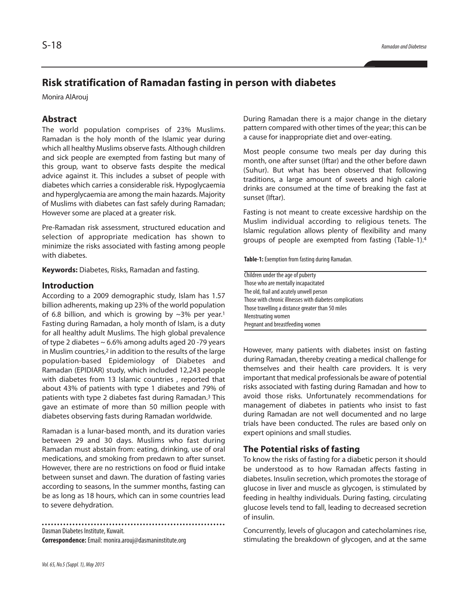# **Risk stratification of Ramadan fasting in person with diabetes**

Monira AlArouj

# **Abstract**

The world population comprises of 23% Muslims. Ramadan is the holy month of the Islamic year during which all healthy Muslims observe fasts. Although children and sick people are exempted from fasting but many of this group, want to observe fasts despite the medical advice against it. This includes a subset of people with diabetes which carries a considerable risk. Hypoglycaemia and hyperglycaemia are among the main hazards. Majority of Muslims with diabetes can fast safely during Ramadan; However some are placed at a greater risk.

Pre-Ramadan risk assessment, structured education and selection of appropriate medication has shown to minimize the risks associated with fasting among people with diabetes.

**Keywords:** Diabetes, Risks, Ramadan and fasting.

#### **Introduction**

According to a 2009 demographic study, Islam has 1.57 billion adherents, making up 23% of the world population of 6.8 billion, and which is growing by  $\sim$ 3% per year.<sup>1</sup> Fasting during Ramadan, a holy month of Islam, is a duty for all healthy adult Muslims. The high global prevalence of type 2 diabetes  $\sim$  6.6% among adults aged 20 -79 years in Muslim countries, <sup>2</sup> in addition to the results of the large population-based Epidemiology of Diabetes and Ramadan (EPIDIAR) study, which included 12,243 people with diabetes from 13 Islamic countries , reported that about 43% of patients with type 1 diabetes and 79% of patients with type 2 diabetes fast during Ramadan. <sup>3</sup> This gave an estimate of more than 50 million people with diabetes observing fasts during Ramadan worldwide.

Ramadan is a lunar-based month, and its duration varies between 29 and 30 days. Muslims who fast during Ramadan must abstain from: eating, drinking, use of oral medications, and smoking from predawn to after sunset. However, there are no restrictions on food or fluid intake between sunset and dawn. The duration of fasting varies according to seasons, In the summer months, fasting can be as long as 18 hours, which can in some countries lead to severe dehydration.

Dasman Diabetes Institute, Kuwait. **Correspondence:**Email: monira.arouj@dasmaninstitute.org

During Ramadan there is a major change in the dietary pattern compared with other times of the year; this can be a cause for inappropriate diet and over-eating.

Most people consume two meals per day during this month, one after sunset (Iftar) and the other before dawn (Suhur). But what has been observed that following traditions, a large amount of sweets and high calorie drinks are consumed at the time of breaking the fast at sunset (Iftar).

Fasting is not meant to create excessive hardship on the Muslim individual according to religious tenets. The Islamic regulation allows plenty of flexibility and many groups of people are exempted from fasting (Table-1). 4

Table-1: Exemption from fasting during Ramadan.

Children under the age of puberty Those who are mentally incapacitated The old, frail and acutely unwell person Those with chronic illnesses with diabetes complications Those travelling a distance greater than 50 miles Menstruating women Pregnant and breastfeeding women

However, many patients with diabetes insist on fasting during Ramadan, thereby creating a medical challenge for themselves and their health care providers. It is very important that medical professionals be aware of potential risks associated with fasting during Ramadan and how to avoid those risks. Unfortunately recommendations for management of diabetes in patients who insist to fast during Ramadan are not well documented and no large trials have been conducted. The rules are based only on expert opinions and small studies.

#### **The Potential risks of fasting**

To know the risks of fasting for a diabetic person it should be understood as to how Ramadan affects fasting in diabetes. Insulin secretion, which promotes the storage of glucose in liver and muscle as glycogen, is stimulated by feeding in healthy individuals. During fasting, circulating glucose levels tend to fall, leading to decreased secretion of insulin.

Concurrently, levels of glucagon and catecholamines rise, stimulating the breakdown of glycogen, and at the same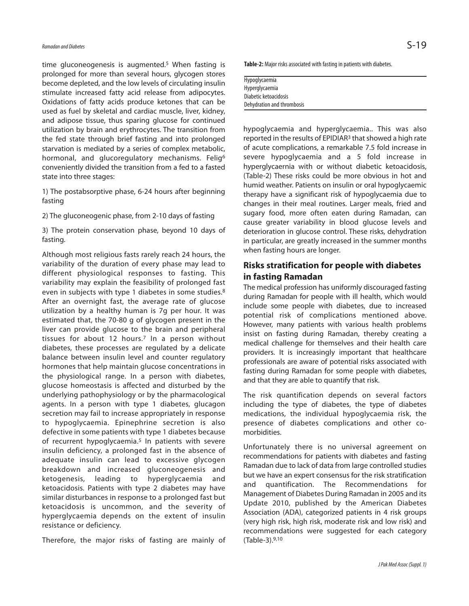time gluconeogenesis is augmented. <sup>5</sup> When fasting is prolonged for more than several hours, glycogen stores become depleted, and the low levels of circulating insulin stimulate increased fatty acid release from adipocytes. Oxidations of fatty acids produce ketones that can be used as fuel by skeletal and cardiac muscle, liver, kidney, and adipose tissue, thus sparing glucose for continued utilization by brain and erythrocytes. The transition from the fed state through brief fasting and into prolonged starvation is mediated by a series of complex metabolic, hormonal, and glucoregulatory mechanisms. Felig<sup>6</sup> conveniently divided the transition from a fed to a fasted state into three stages:

1) The postabsorptive phase, 6-24 hours after beginning fasting

2) The gluconeogenic phase, from 2-10 days of fasting

3) The protein conservation phase, beyond 10 days of fasting.

Although most religious fasts rarely reach 24 hours, the variability of the duration of every phase may lead to different physiological responses to fasting. This variability may explain the feasibility of prolonged fast even in subjects with type 1 diabetes in some studies.<sup>8</sup> After an overnight fast, the average rate of glucose utilization by a healthy human is 7g per hour. It was estimated that, the 70-80 g of glycogen present in the liver can provide glucose to the brain and peripheral tissues for about 12 hours.7 In a person without diabetes, these processes are regulated by a delicate balance between insulin level and counter regulatory hormones that help maintain glucose concentrations in the physiological range. In a person with diabetes, glucose homeostasis is affected and disturbed by the underlying pathophysiology or by the pharmacological agents. In a person with type 1 diabetes, glucagon secretion may fail to increase appropriately in response to hypoglycaemia. Epinephrine secretion is also defective in some patients with type 1 diabetes because of recurrent hypoglycaemia. <sup>5</sup> In patients with severe insulin deficiency, a prolonged fast in the absence of adequate insulin can lead to excessive glycogen breakdown and increased gluconeogenesis and ketogenesis, leading to hyperglycaemia and ketoacidosis. Patients with type 2 diabetes may have similar disturbances in response to a prolonged fast but ketoacidosis is uncommon, and the severity of hyperglycaemia depends on the extent of insulin resistance or deficiency.

Therefore, the major risks of fasting are mainly of

Table-2: Major risks associated with fasting in patients with diabetes.

Hypoglycaemia Hyperglycaemia Diabetic ketoacidosis Dehydration and thrombosis

hypoglycaemia and hyperglycaemia.. This was also reported in the results of EPIDIAR<sup>3</sup> that showed a high rate of acute complications, a remarkable 7.5 fold increase in severe hypoglycaemia and a 5 fold increase in hyperglycaernia with or without diabetic ketoacidosis, (Table-2) These risks could be more obvious in hot and humid weather. Patients on insulin or oral hypoglycaemic therapy have a significant risk of hypoglycaemia due to changes in their meal routines. Larger meals, fried and sugary food, more often eaten during Ramadan, can cause greater variability in blood glucose levels and deterioration in glucose control. These risks, dehydration in particular, are greatly increased in the summer months when fasting hours are longer.

## **Risks stratification for people with diabetes in fasting Ramadan**

The medical profession has uniformly discouraged fasting during Ramadan for people with ill health, which would include some people with diabetes, due to increased potential risk of complications mentioned above. However, many patients with various health problems insist on fasting during Ramadan, thereby creating a medical challenge for themselves and their health care providers. It is increasingly important that healthcare professionals are aware of potential risks associated with fasting during Ramadan for some people with diabetes, and that they are able to quantify that risk.

The risk quantification depends on several factors including the type of diabetes, the type of diabetes medications, the individual hypoglycaemia risk, the presence of diabetes complications and other comorbidities.

Unfortunately there is no universal agreement on recommendations for patients with diabetes and fasting Ramadan due to lack of data from large controlled studies but we have an expert consensus for the risk stratification and quantification. The Recommendations for Management of Diabetes During Ramadan in 2005 and its Update 2010, published by the American Diabetes Association (ADA), categorized patients in 4 risk groups (very high risk, high risk, moderate risk and low risk) and recommendations were suggested for each category (Table-3). 9,10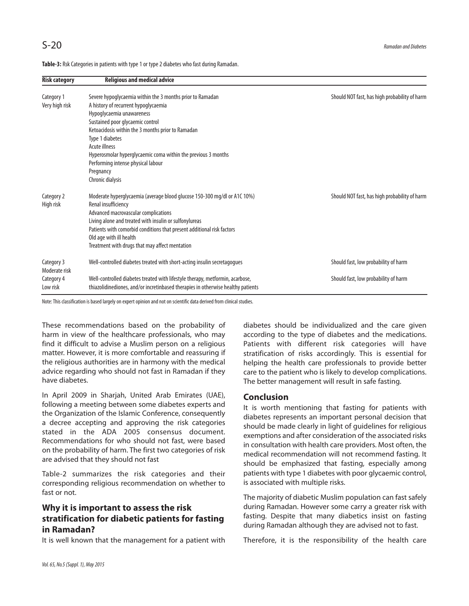| <b>Risk category</b>                                  | <b>Religious and medical advice</b>                                                                                                                                                                                                                                                                                                                                                                 |                                                                              |
|-------------------------------------------------------|-----------------------------------------------------------------------------------------------------------------------------------------------------------------------------------------------------------------------------------------------------------------------------------------------------------------------------------------------------------------------------------------------------|------------------------------------------------------------------------------|
| Category 1<br>Very high risk                          | Severe hypoglycaemia within the 3 months prior to Ramadan<br>A history of recurrent hypoglycaemia<br>Hypoglycaemia unawareness<br>Sustained poor glycaemic control<br>Ketoacidosis within the 3 months prior to Ramadan<br>Type 1 diabetes<br>Acute illness<br>Hyperosmolar hyperglycaemic coma within the previous 3 months<br>Performing intense physical labour<br>Pregnancy<br>Chronic dialysis | Should NOT fast, has high probability of harm                                |
| Category 2<br>High risk                               | Moderate hyperglycaemia (average blood glucose 150-300 mg/dl or A1C 10%)<br>Renal insufficiency<br>Advanced macrovascular complications<br>Living alone and treated with insulin or sulfonylureas<br>Patients with comorbid conditions that present additional risk factors<br>Old age with ill health<br>Treatment with drugs that may affect mentation                                            | Should NOT fast, has high probability of harm                                |
| Category 3<br>Moderate risk<br>Category 4<br>Low risk | Well-controlled diabetes treated with short-acting insulin secretagogues<br>Well-controlled diabetes treated with lifestyle therapy, metformin, acarbose,<br>thiazolidinediones, and/or incretinbased therapies in otherwise healthy patients                                                                                                                                                       | Should fast, low probability of harm<br>Should fast, low probability of harm |

Table-3: Rsk Categories in patients with type 1 or type 2 diabetes who fast during Ramadan.

Note: This classification is based largely on expert opinion and not on scientific data derived from clinical studies.

These recommendations based on the probability of harm in view of the healthcare professionals, who may find it difficult to advise a Muslim person on a religious matter. However, it is more comfortable and reassuring if the religious authorities are in harmony with the medical advice regarding who should not fast in Ramadan if they have diabetes.

In April 2009 in Sharjah, United Arab Emirates (UAE), following a meeting between some diabetes experts and the Organization of the Islamic Conference, consequently a decree accepting and approving the risk categories stated in the ADA 2005 consensus document. Recommendations for who should not fast, were based on the probability of harm. The first two categories of risk are advised that they should not fast

Table-2 summarizes the risk categories and their corresponding religious recommendation on whether to fast or not.

# **Why it is important to assess the risk stratification for diabetic patients for fasting in Ramadan?**

It is well known that the management for a patient with

diabetes should be individualized and the care given according to the type of diabetes and the medications. Patients with different risk categories will have stratification of risks accordingly. This is essential for helping the health care professionals to provide better care to the patient who is likely to develop complications. The better management will result in safe fasting.

### **Conclusion**

It is worth mentioning that fasting for patients with diabetes represents an important personal decision that should be made clearly in light of guidelines for religious exemptions and after consideration of the associated risks in consultation with health care providers. Most often, the medical recommendation will not recommend fasting. It should be emphasized that fasting, especially among patients with type 1 diabetes with poor glycaemic control, is associated with multiple risks.

The majority of diabetic Muslim population can fast safely during Ramadan. However some carry a greater risk with fasting. Despite that many diabetics insist on fasting during Ramadan although they are advised not to fast.

Therefore, it is the responsibility of the health care